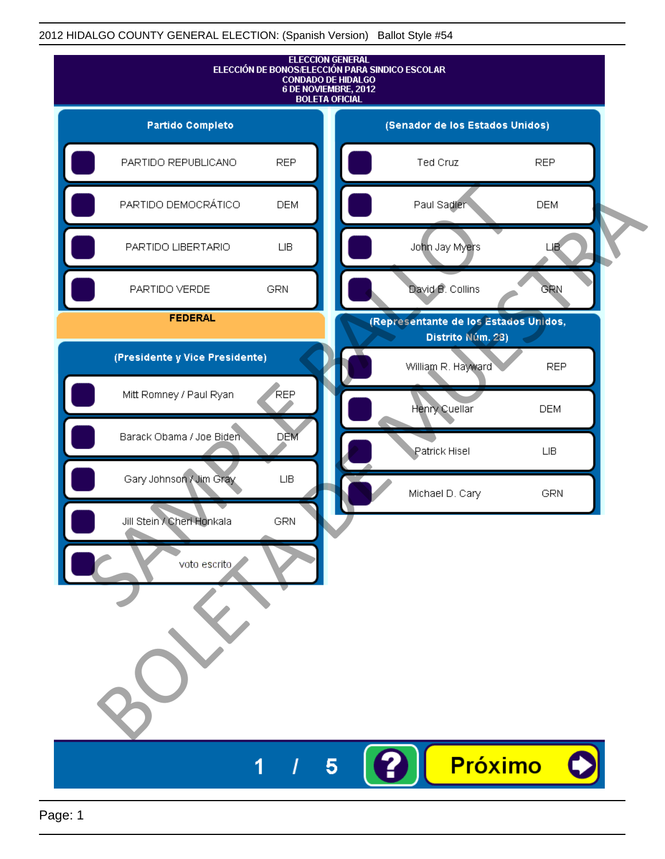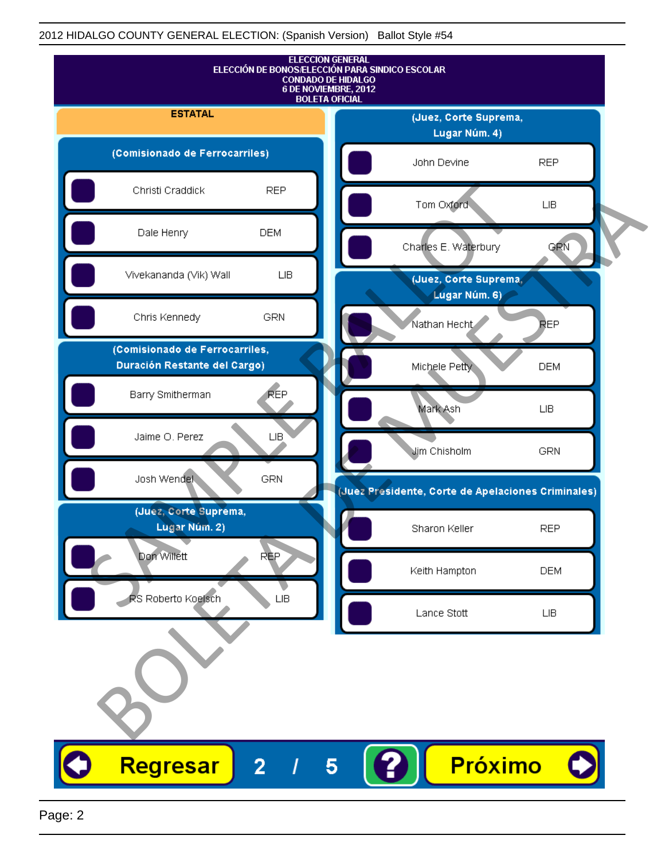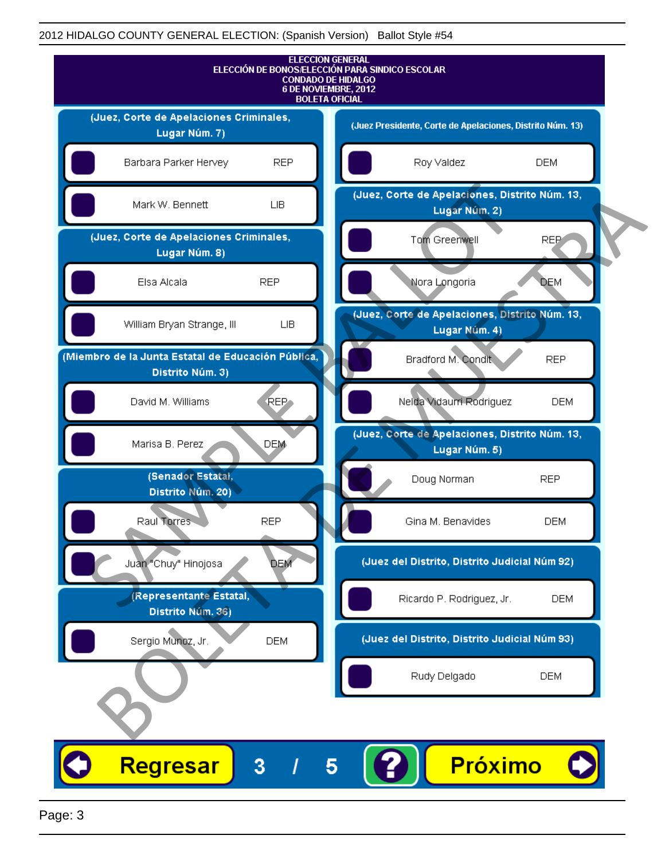

Page: 3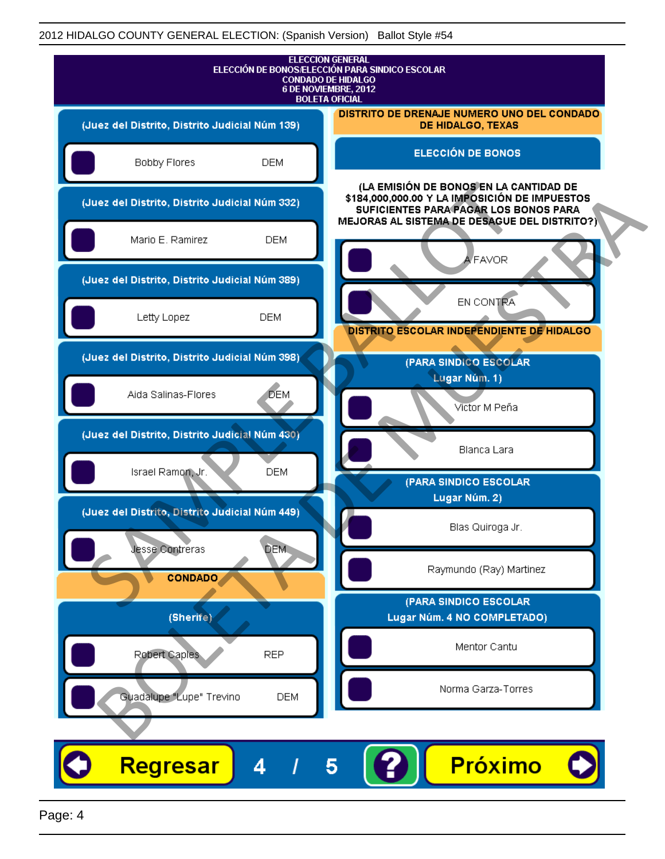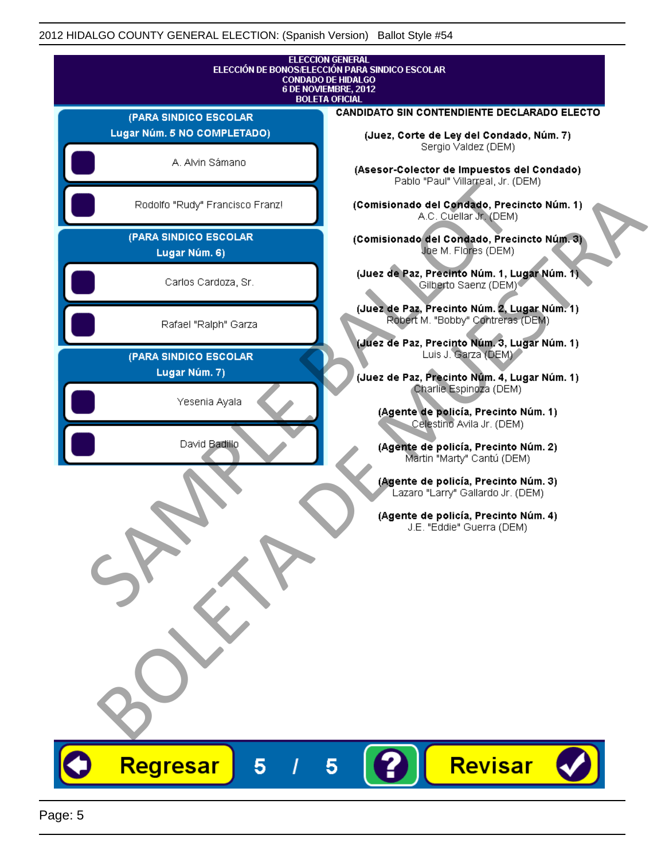|                                                      | <b>ELECCION GENERAL</b><br>ELECCIÓN DE BONOS/ELECCIÓN PARA SINDICO ESCOLAR<br><b>CONDADO DE HIDALGO</b> |
|------------------------------------------------------|---------------------------------------------------------------------------------------------------------|
| 6 DE NOVIEMBRE, 2012<br><b>BOLETA OFICIAL</b>        |                                                                                                         |
|                                                      | CANDIDATO SIN CONTENDIENTE DECLARADO ELECTO                                                             |
| (PARA SINDICO ESCOLAR<br>Lugar Núm. 5 NO COMPLETADO) |                                                                                                         |
|                                                      | (Juez, Corte de Ley del Condado, Núm. 7)<br>Sergio Valdez (DEM)                                         |
| A. Alvin Sámano                                      | (Asesor-Colector de Impuestos del Condado)<br>Pablo "Paul" Villarreal, Jr. (DEM)                        |
| Rodolfo "Rudy" Francisco Franz!                      | (Comisionado del Condado, Precincto Núm. 1)<br>A.C. Cuellar Jr. (DEM)                                   |
| (PARA SINDICO ESCOLAR<br>Lugar Núm. 6)               | (Comisionado del Condado, Precincto Núm. 3)<br>Joe M. Flores (DEM)                                      |
| Carlos Cardoza, Sr.                                  | (Juez de Paz, Precinto Núm. 1, Lugar Núm. 1)<br>Gilberto Saenz (DEM)                                    |
| Rafael "Ralph" Garza                                 | (Juez de Paz, Precinto Núm. 2, Lugar Núm. 1)<br>Robert M. "Bobby" Contreras (DEM)                       |
|                                                      | (Juez de Paz, Precinto Núm. 3, Lugar Núm. 1)                                                            |
| (PARA SINDICO ESCOLAR                                | Luis J. Garza (DEM)                                                                                     |
| Lugar Núm. 7)                                        | (Juez de Paz, Precinto Núm. 4, Lugar Núm. 1)                                                            |
|                                                      | Charlie Espinoza (DEM)                                                                                  |
| Yesenia Ayala                                        | (Agente de policía, Precinto Núm. 1)                                                                    |
|                                                      | Celestino Avila Jr. (DEM)                                                                               |
| David Badillo                                        | (Agente de policía, Precinto Núm. 2)                                                                    |
|                                                      | Martin "Marty" Cantú (DEM)                                                                              |
|                                                      | (Agente de policía, Precinto Núm. 3)<br>Lazaro "Larry" Gallardo Jr. (DEM)                               |
|                                                      |                                                                                                         |
|                                                      | (Agente de policía, Precinto Núm. 4)                                                                    |
|                                                      | J.E. "Eddie" Guerra (DEM)                                                                               |
|                                                      |                                                                                                         |
|                                                      |                                                                                                         |
|                                                      |                                                                                                         |
|                                                      |                                                                                                         |
|                                                      |                                                                                                         |
|                                                      |                                                                                                         |
|                                                      |                                                                                                         |
|                                                      |                                                                                                         |
|                                                      |                                                                                                         |
|                                                      |                                                                                                         |
|                                                      |                                                                                                         |
|                                                      |                                                                                                         |
|                                                      |                                                                                                         |
| Regresar<br>5                                        | Revisar<br>5                                                                                            |
|                                                      |                                                                                                         |
|                                                      |                                                                                                         |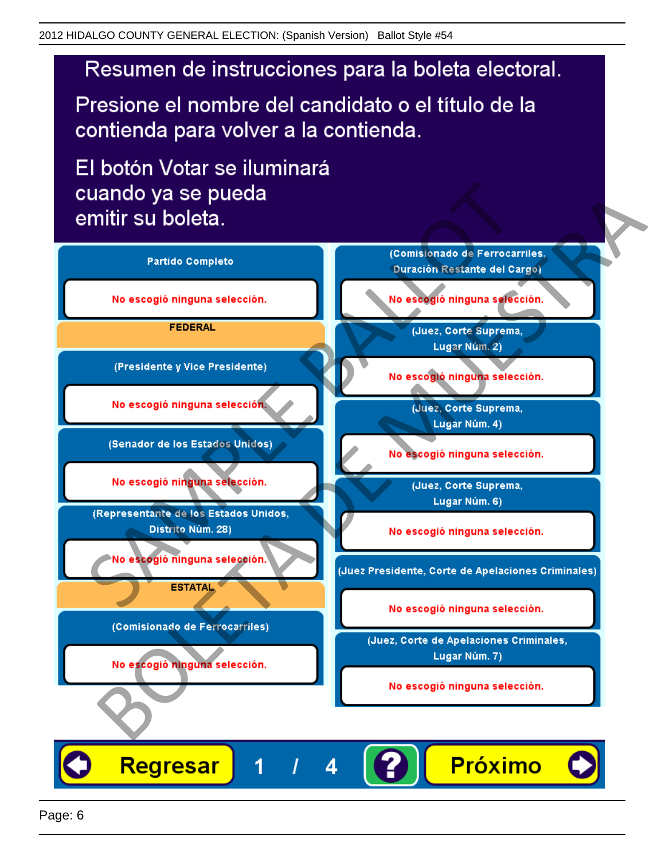Presione el nombre del candidato o el título de la contienda para volver a la contienda.

El botón Votar se iluminará

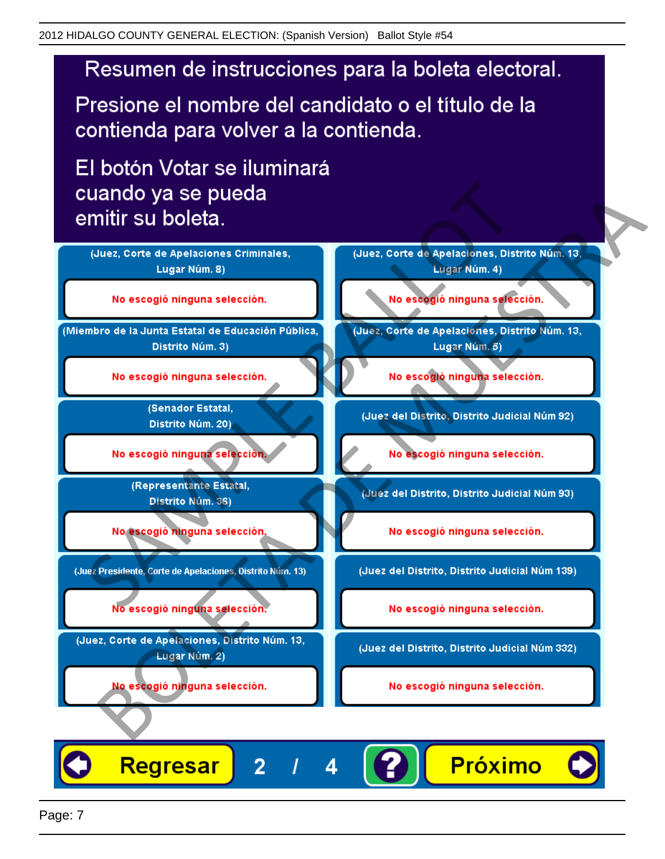Presione el nombre del candidato o el título de la contienda para volver a la contienda.

El botón Votar se iluminará



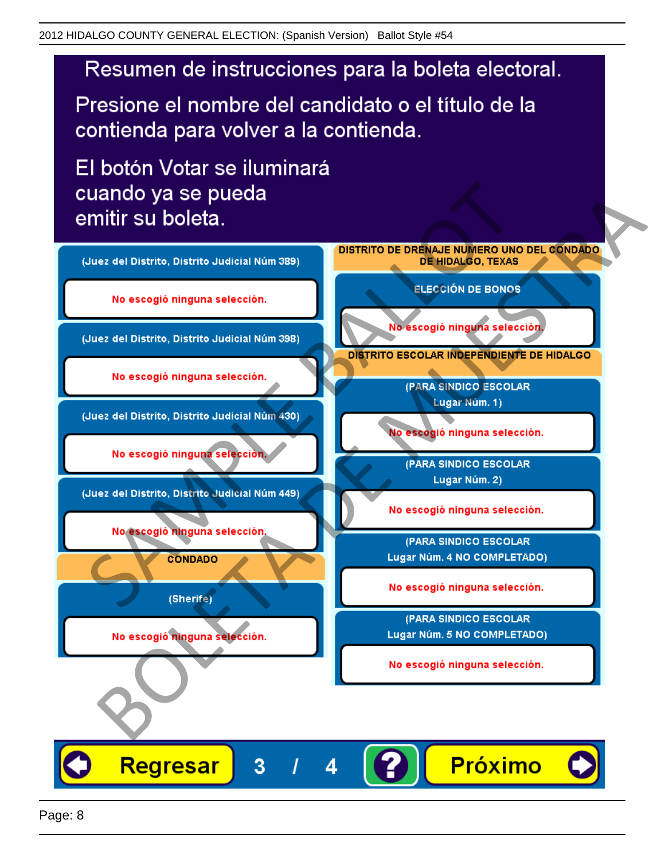Presione el nombre del candidato o el título de la contienda para volver a la contienda.

El botón Votar se iluminará